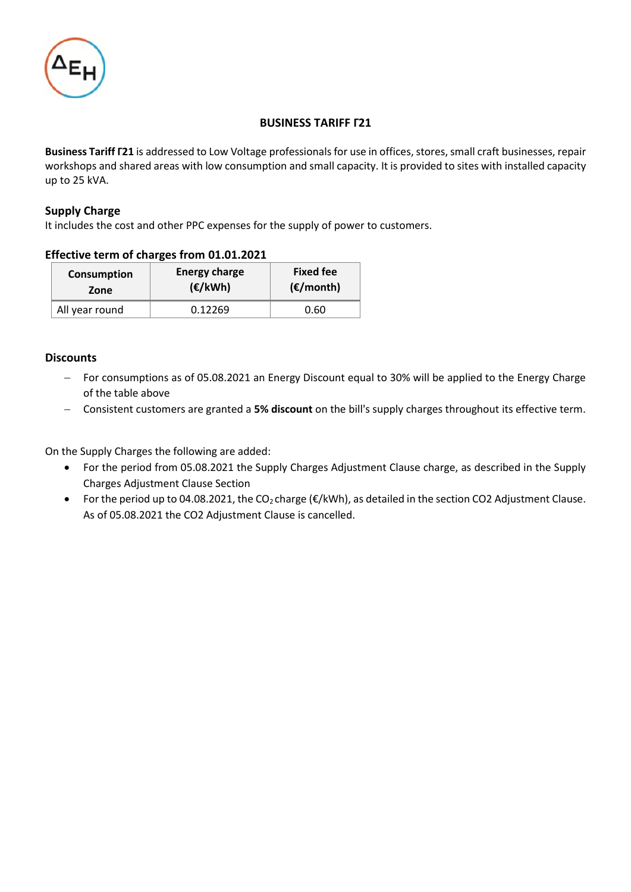

### **BUSINESS TARIFF Γ21**

**Business Tariff Γ21** is addressed to Low Voltage professionals for use in offices, stores, small craft businesses, repair workshops and shared areas with low consumption and small capacity. It is provided to sites with installed capacity up to 25 kVA.

### **Supply Charge**

It includes the cost and other PPC expenses for the supply of power to customers.

#### **Effective term of charges from 01.01.2021**

| Consumption    | <b>Energy charge</b> | <b>Fixed fee</b>    |  |
|----------------|----------------------|---------------------|--|
| Zone           | $(\epsilon/kWh)$     | $(\epsilon$ /month) |  |
| All year round | 0.12269              | 0.60                |  |

#### **Discounts**

- − For consumptions as of 05.08.2021 an Energy Discount equal to 30% will be applied to the Energy Charge of the table above
- − Consistent customers are granted a **5% discount** on the bill's supply charges throughout its effective term.

On the Supply Charges the following are added:

- For the period from 05.08.2021 the Supply Charges Adjustment Clause charge, as described in the Supply Charges Adjustment Clause Section
- For the period up to 04.08.2021, the CO2 charge (€/kWh), as detailed in the section CO2 Adjustment Clause. As of 05.08.2021 the CO2 Adjustment Clause is cancelled.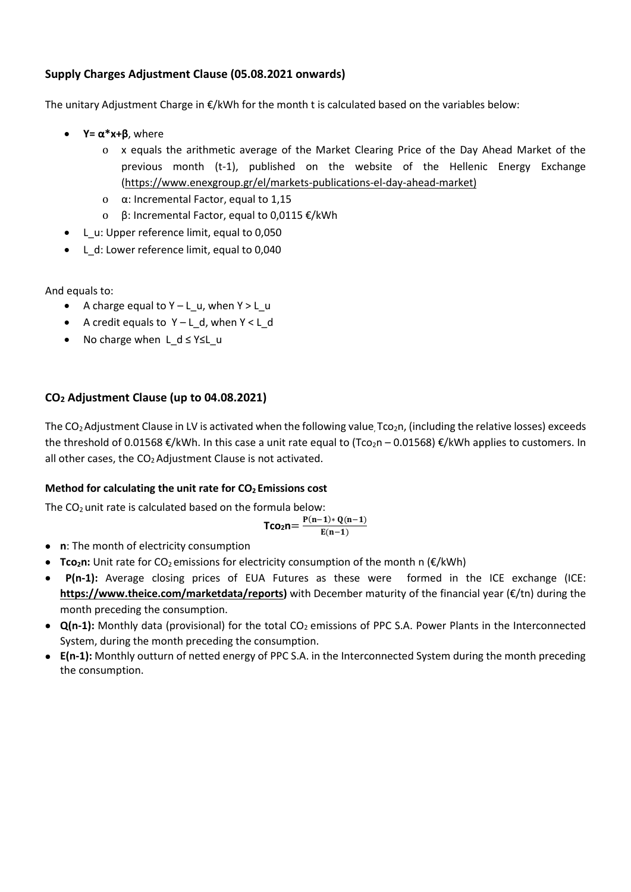# **Supply Charges Adjustment Clause (05.08.2021 onwards)**

The unitary Adjustment Charge in €/kWh for the month t is calculated based on the variables below:

- $Y = \alpha^* x + \beta$ , where
	- o x equals the arithmetic average of the Market Clearing Price of the Day Ahead Market of the previous month (t-1), published on the website of the Hellenic Energy Exchange [\(https://www.enexgroup.gr/el/markets-publications-el-day-ahead-market\)](https://www.enexgroup.gr/el/markets-publications-el-day-ahead-market)
	- o α: Incremental Factor, equal to 1,15
	- o β: Incremental Factor, equal to 0,0115 €/kWh
- L\_u: Upper reference limit, equal to 0,050
- L\_d: Lower reference limit, equal to 0,040

And equals to:

- A charge equal to  $Y L$  u, when  $Y > L$  u
- A credit equals to Υ L\_d, when Υ < L\_d
- No charge when L d ≤ Y≤L u

# **CO<sup>2</sup> Adjustment Clause (up to 04.08.2021)**

The  $CO<sub>2</sub>$ Adjustment Clause in LV is activated when the following value, Tco<sub>2</sub>n, (including the relative losses) exceeds the threshold of 0.01568  $\epsilon$ /kWh. In this case a unit rate equal to (Tco<sub>2</sub>n – 0.01568)  $\epsilon$ /kWh applies to customers. In all other cases, the  $CO<sub>2</sub>$  Adjustment Clause is not activated.

## **Method for calculating the unit rate for CO<sup>2</sup> Emissions cost**

The  $CO<sub>2</sub>$  unit rate is calculated based on the formula below:

$$
\text{Tco}_2 n \text{=}\, \frac{P(n-1)*Q(n-1)}{E(n-1)}
$$

- **n**: The month of electricity consumption
- **Tco**<sub>2</sub>**n**: Unit rate for CO<sub>2</sub> emissions for electricity consumption of the month n (€/kWh)
- **P(n-1):** Average closing prices of EUA Futures as these were formed in the ICE exchange (ICE: **[https://www.theice.com/marketdata/reports\)](https://www.theice.com/marketdata/reports)** with December maturity of the financial year (€/tn) during the month preceding the consumption.
- **Q(n-1):** Monthly data (provisional) for the total CO<sub>2</sub> emissions of PPC S.A. Power Plants in the Interconnected System, during the month preceding the consumption.
- **Ε(n-1):** Monthly outturn of netted energy of PPC S.A. in the Interconnected System during the month preceding the consumption.